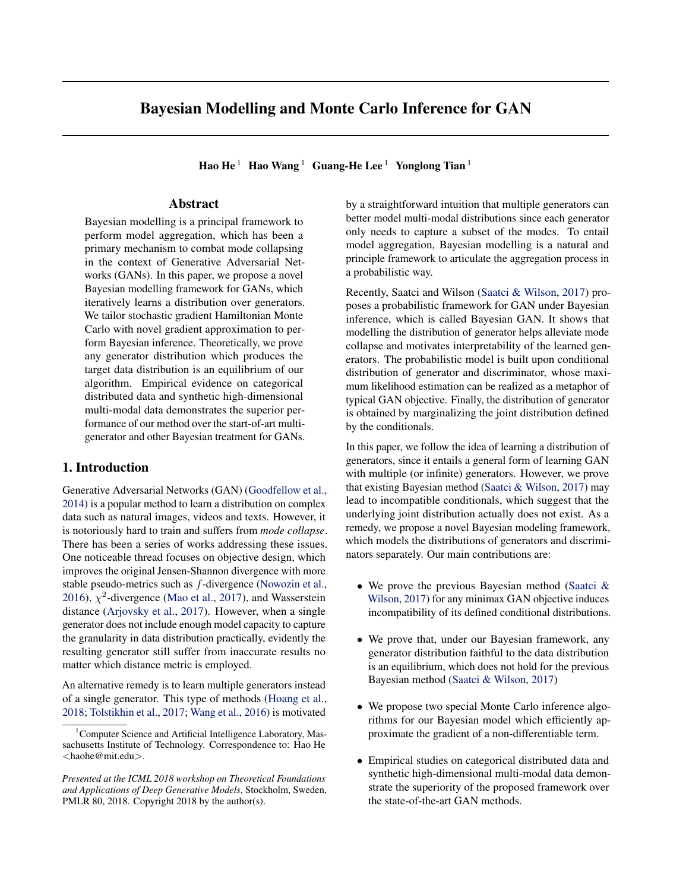# Bayesian Modelling and Monte Carlo Inference for GAN

Hao He<sup>1</sup> Hao Wang<sup>1</sup> Guang-He Lee<sup>1</sup> Yonglong Tian<sup>1</sup>

# Abstract

Bayesian modelling is a principal framework to perform model aggregation, which has been a primary mechanism to combat mode collapsing in the context of Generative Adversarial Networks (GANs). In this paper, we propose a novel Bayesian modelling framework for GANs, which iteratively learns a distribution over generators. We tailor stochastic gradient Hamiltonian Monte Carlo with novel gradient approximation to perform Bayesian inference. Theoretically, we prove any generator distribution which produces the target data distribution is an equilibrium of our algorithm. Empirical evidence on categorical distributed data and synthetic high-dimensional multi-modal data demonstrates the superior performance of our method over the start-of-art multigenerator and other Bayesian treatment for GANs.

### 1. Introduction

Generative Adversarial Networks (GAN) (Goodfellow et al., 2014) is a popular method to learn a distribution on complex data such as natural images, videos and texts. However, it is notoriously hard to train and suffers from *mode collapse*. There has been a series of works addressing these issues. One noticeable thread focuses on objective design, which improves the original Jensen-Shannon divergence with more stable pseudo-metrics such as f-divergence (Nowozin et al., 2016),  $\chi^2$ -divergence (Mao et al., 2017), and Wasserstein distance (Arjovsky et al., 2017). However, when a single generator does not include enough model capacity to capture the granularity in data distribution practically, evidently the resulting generator still suffer from inaccurate results no matter which distance metric is employed.

An alternative remedy is to learn multiple generators instead of a single generator. This type of methods (Hoang et al., 2018; Tolstikhin et al., 2017; Wang et al., 2016) is motivated

by a straightforward intuition that multiple generators can better model multi-modal distributions since each generator only needs to capture a subset of the modes. To entail model aggregation, Bayesian modelling is a natural and principle framework to articulate the aggregation process in a probabilistic way.

Recently, Saatci and Wilson (Saatci & Wilson, 2017) proposes a probabilistic framework for GAN under Bayesian inference, which is called Bayesian GAN. It shows that modelling the distribution of generator helps alleviate mode collapse and motivates interpretability of the learned generators. The probabilistic model is built upon conditional distribution of generator and discriminator, whose maximum likelihood estimation can be realized as a metaphor of typical GAN objective. Finally, the distribution of generator is obtained by marginalizing the joint distribution defined by the conditionals.

In this paper, we follow the idea of learning a distribution of generators, since it entails a general form of learning GAN with multiple (or infinite) generators. However, we prove that existing Bayesian method (Saatci & Wilson, 2017) may lead to incompatible conditionals, which suggest that the underlying joint distribution actually does not exist. As a remedy, we propose a novel Bayesian modeling framework, which models the distributions of generators and discriminators separately. Our main contributions are:

- We prove the previous Bayesian method (Saatci & Wilson, 2017) for any minimax GAN objective induces incompatibility of its defined conditional distributions.
- We prove that, under our Bayesian framework, any generator distribution faithful to the data distribution is an equilibrium, which does not hold for the previous Bayesian method (Saatci & Wilson, 2017)
- We propose two special Monte Carlo inference algorithms for our Bayesian model which efficiently approximate the gradient of a non-differentiable term.
- Empirical studies on categorical distributed data and synthetic high-dimensional multi-modal data demonstrate the superiority of the proposed framework over the state-of-the-art GAN methods.

<sup>&</sup>lt;sup>1</sup>Computer Science and Artificial Intelligence Laboratory, Massachusetts Institute of Technology. Correspondence to: Hao He <haohe@mit.edu>.

*Presented at the ICML 2018 workshop on Theoretical Foundations and Applications of Deep Generative Models*, Stockholm, Sweden, PMLR 80, 2018. Copyright 2018 by the author(s).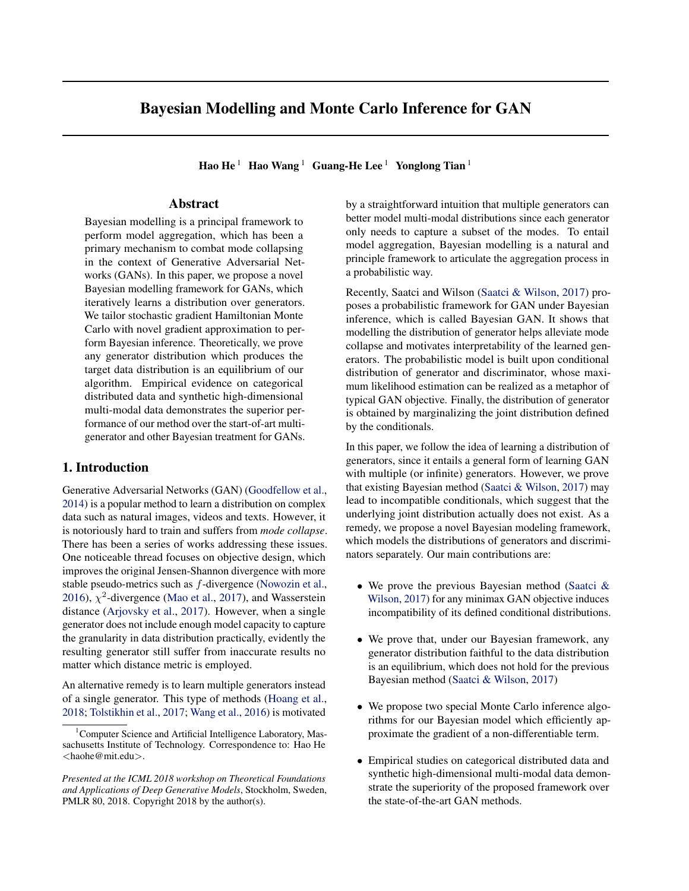# 2. Related Work

Generative Adversarial Networks is powerful class of methods to learn a generative model for any complex target data distribution. There is game between a generator and a discriminator. Both of them adapt their strategies to minimize their own loss function involving the other:

$$
\min_{g} \mathcal{L}_{g}(\theta_{g}; \theta_{d}), \ \min_{d} \mathcal{L}_{d}(\theta_{d}; \theta_{g}). \tag{1}
$$

Eqn. 1 gives a general mathematical form of the game. The loss functions (termed as *GAN objective* in this paper) are elaborately chosen such that at the equilibrium, the generator can generate a target data distribution. Table 1 summarizes several widely used GAN objectives, including the original min-max version where  $\mathcal{L}_q(\theta_q; \theta_q) = -\mathcal{L}_q(\theta_q; \theta_q)$ , nonsaturating version of original GAN (Goodfellow, 2016), LSGAN (Mao et al., 2017), and WGAN (Arjovsky et al., 2017). For readers unfamiliar with GAN, we refer to Sec. 3.1 for a detailed explanation of the notations.

Training GAN with multiple generators is considered in several recent works to mitigate the mode collapse problem. In the spirit of boosting algorithm, (Wang et al., 2016) propose to incrementally train new generator using a subset of training data that are not well captured by previous generators, while (Tolstikhin et al., 2017) further propose a more robust mechanism to reweight samples in the training set for new generator. From the perspective of game theory, MIX-GAN (Arora et al., 2017) extends the game between a single generator and discriminator to the multiple-player setting. Other works resort to third party classifiers to help multiple generators and discriminators achieve better equilibrium, such as MGAN (Hoang et al., 2018), MAD-GAN (Ghosh et al., 2017).

Bayesian GAN (Saatci & Wilson, 2017) is a different approach which models a joint distribution of generators and discriminators by giving the conditional posteriors in Eqn. 2 with the likelihood terms (exp $\{-\mathcal{L}_q(\theta_q; \theta_d)\}\$  and  $\exp\{-\mathcal{L}_d(\theta_d; \theta_q)\}\)$ , and priors  $(p(\theta_q|\alpha_q))$  and  $p(\theta_q|\alpha_d))$  parameterized by  $\alpha_d$  and  $\alpha_g$ . As we can see, the likelihood is specifically designed such that maximizing the likelihood of the conditional distribution is equivalently optimizing the corresponding GAN objective. The authors argue that instead of doing point mass maximum likelihood estimation as optimization based GAN does, marginalizing the generator's distribution which is multi-modal itself offers better ability to learn a multi-modal data distribution.

$$
p(\theta_g|\theta_d) \propto \exp\{-\mathcal{L}_g(\theta_g; \theta_d)\} p(\theta_g|\alpha_g).
$$
  
 
$$
p(\theta_d|\theta_g) \propto \exp\{-\mathcal{L}_d(\theta_d; \theta_g)\} p(\theta_d|\alpha_d).
$$
 (2)

In order to obtain the generator's marginal distribution, Stochastic Gradient Hamiltonian Monte Carlo (SGHMC) (Chen et al., 2014) is employed. SGHMC is a method to generate samples from a given distribution  $p(\mathbf{x})$ as long as it is differentiable.<sup>1</sup> With SGHMC, Bayesian

GAN updates the Monte Carlo samples,  $\{\theta_{d,m}^{(t)}\}_{m=1}^M$  and  $\{\theta_{g,m}^{(t)}\}_{m=1}^M$  as described in Eqn. 3.

$$
\{\theta_{g,m}^{(t+1)}\}_{m=1}^{M} \sim p(\theta_{g}|\{\theta_{d,m}^{(t)}\}_{m=1}^{M}) = \left(\begin{array}{c} p(\theta_{g}|\theta_{d,m}^{(t)})\right)^{\frac{1}{M}} \\ m \\ m \end{array}\right. \n= \exp\{-\frac{1}{M} \sum_{m} \mathcal{L}_{g}(\theta_{g}; \theta_{d,m}^{(t)})\} p(\theta_{g}|\alpha_{g}). \n\{\theta_{d,m}^{(t+1)}\}_{m=1}^{M} \sim p(\theta_{d}|\{\theta_{g,m}^{(t)}\}_{m=1}^{M}) = \left(\begin{array}{c} \gamma \\ p(\theta_{d}|\theta_{g,m}^{(t)})\right)^{\frac{1}{M}} \\ m \\ m \end{array}\right. \n= \exp\{-\frac{1}{M} \sum_{m} \mathcal{L}_{d}(\theta_{d}; \theta_{g,m}^{(t)})\} p(\theta_{d}|\alpha_{d}).
$$
\n(3)

The underlying distributions  $q_g^{(t)}(\theta_g)$ ,  $q_d^{(t)}$  $d^{(l)}(\theta_d)$  represented by the Monte Carlo samples are actually updated as Eqn. 4.

$$
q_g^{(t+1)}(\theta_g) \propto \exp\{-\mathbb{E}_{d} q_g^{(t)} \mathcal{L}_g(\theta_g; \theta_d)\} p(\theta_g|\alpha_g).
$$
  
\n
$$
\propto \exp\{\mathbb{E}_{d} q_g^{(t)} \log p(\theta_g|\theta_d)\}
$$
  
\n
$$
q_d^{(t+1)}(\theta_d) \propto \exp\{-\mathbb{E}_{g} q_g^{(t)} \mathcal{L}_d(\theta_d; \theta_g)\} p(\theta_d|\alpha_d)
$$
  
\n
$$
\propto \exp\{\mathbb{E}_{g} q_g^{(t)} \log p(\theta_d|\theta_g)\}.
$$
\n(4)

To facilitate discussion, we categorize GAN frameworks into the following taxonomy: *optimization based method* and *probabilistic method*. Optimization based method sets up an explicit mini-max game between the generator and discriminator, where an equilibrium typically characterize a generator faithful to data distribution in an explicit way. In probabilistic method, generators and discriminators evolve as particles of underlying distributions, where an equilibrium is searched from a stochastic exploration in the distribution space (of the generators and discriminators).

### 3. Methodology

The section is organized as following. We first summarize the notations used in the paper. Second, we elaborate our Bayesian modelling for GAN and develop constituent prior and likelihood formulations. Then we make a detailed comparison with previous Bayesian method, which highlights theoretical difference between the methods. Finally, we develop algorithms to infer the posterior for our Bayesian modelling.

### 3.1. Notations

In this paper, we aim to learn a data distribution  $p_{data}(\mathbf{x})$ , with sample  $x$  drawn from  $\mathcal{X}$ . Our generator and discriminator are parameterized by  $\theta_g \in g$  and  $\theta_d \in g$ . A generator with parameter  $\theta_g$  defines a mapping from a random noise vector  $z \sim p_z$  to a random vector  $G(z; \theta_q)$  over the data space  $X$  which induce a generated data distribution  $p_{gen}(\mathbf{x}; \theta_q)$ . A discriminator is a function of data to

<sup>&</sup>lt;sup>1</sup>We refer reader to the original paper for more details.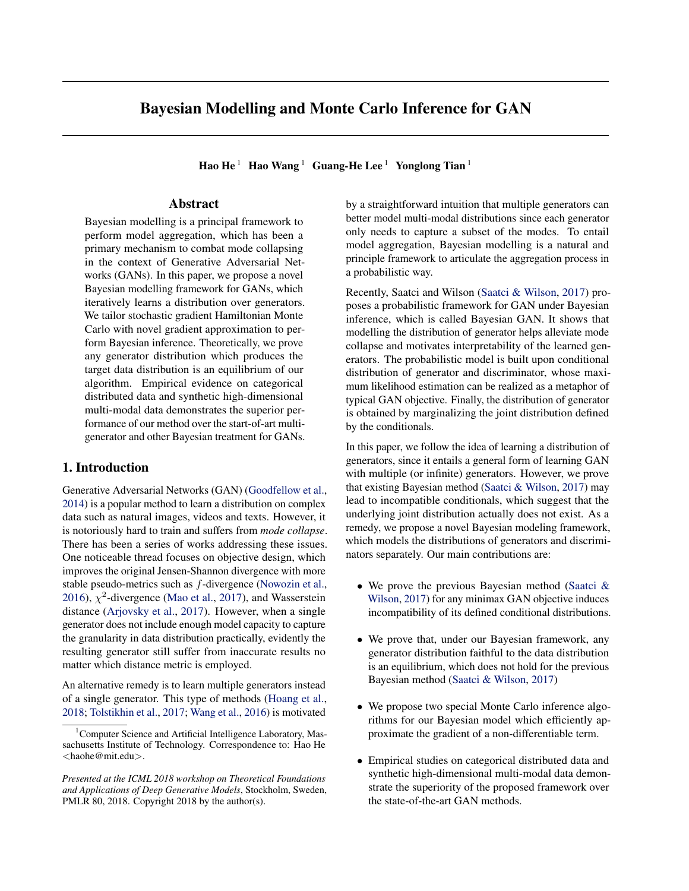Bayesian Modelling and Monte Carlo Inference for GAN

| Table 1. Common GAN objectives.                                                             |                                                                                                                                                                                                                                                                                                                                                                                                                                                                                                                                                                                            |                                                                                                                                                                                                                          |  |  |  |  |
|---------------------------------------------------------------------------------------------|--------------------------------------------------------------------------------------------------------------------------------------------------------------------------------------------------------------------------------------------------------------------------------------------------------------------------------------------------------------------------------------------------------------------------------------------------------------------------------------------------------------------------------------------------------------------------------------------|--------------------------------------------------------------------------------------------------------------------------------------------------------------------------------------------------------------------------|--|--|--|--|
|                                                                                             | $L_d(\theta_d; \theta_a)$                                                                                                                                                                                                                                                                                                                                                                                                                                                                                                                                                                  | $\mathcal{L}_{a}(\theta_{a}; \theta_{d})$                                                                                                                                                                                |  |  |  |  |
| GAN (MIN-MAX)<br>GAN (NON-SATURATING)<br><b>WASSERSTEIN GAN</b><br><b>LEAST-SOUARES GAN</b> | $E_{\mathbf{x}}$ $_{\rho_{data}}$ [log $D(\mathbf{x}; \theta_{d})$ ]<br>$E_{\mathbf{x}}$ $_{pgen}$ (; $_{g}$ )[log(1 $D(\mathbf{x}; \theta_{d})$ )]<br>$E_{\mathbf{x}}$ $_{pgen}$ $_{(q)}$ [log(1 $D(\mathbf{x}; \theta_d)$ )]<br>$E_{\mathbf{x}}$ $_{\rho_{data}}$ [log $D(\mathbf{x}; \theta_{d})$ ]<br>$E_{\mathbf{x}}$ $_{\rho_{data}}[D(\mathbf{x}; \theta_{d})] + E_{\mathbf{x}}$ $_{\rho_{gen}(\cdot g)}[D(\mathbf{x}; \theta_{d})]$<br>$E_{\mathbf{x}}$ $_{\rho_{data}}[(D(\mathbf{x}; \theta_{d}) - 1)^{2}]$ $E_{\mathbf{x}}$ $_{\rho_{gen}(; g)}[D(\mathbf{x}; \theta_{d})^{2}]$ | $L_d(\theta_d; \theta_q)$<br>$E_{\mathbf{x}}$ $\rho_{gen}$ $\underset{L_d(\theta_d; \theta_g)}{\sup}$ [log $D(\mathbf{x}; \theta_d)$ ]<br>$E_{\mathbf{x}}$ $_{Pgen}$ (; g)[ $(D(\mathbf{x}; \theta_d)$ 1) <sup>2</sup> ] |  |  |  |  |

a probability score  $D(\mathbf{x}; \theta_d) : \mathcal{X} \to [0, 1]^2$ . Further, we use  $q_g(\theta_g) \in \mathcal{P}^{\Theta_g}$ ,  $q_d(\theta_d) \in \mathcal{P}^{\Theta_d}$  to denote the distribution over generators and discriminators respectively.

The data distribution generated by generators under the distribution  $q_q(\theta_q)$  is naturally a mixture of data distribution given by every single generator,  $p_{model}(x)$  =  $E_{g \ qq(\sigma)}[p_{gen}(\mathbf{x}; \theta_{g})]$ . Our goal is to learn a generator distribution such that the total mixture of generated data distribution matches our target, i.e.  $p_{model}(\mathbf{x}) \simeq p_{data}(\mathbf{x})$ .

 $\mathcal{L}_g(\theta_g; \theta_d)$  and  $\mathcal{L}_d(\theta_d; \theta_g)$  denote loss functions of generator and discriminator. The common choices<sup>3</sup> are listed in Table 1. With a slight abuse of the notation, we equalize  $\mathcal{L}_q(\theta_q; D(\cdot; \theta_d))$  to  $\mathcal{L}_q(\theta_q; \theta_d)$  and extend the notation by replacing  $D(\cdot; \theta_d)$  with any function D, i.e.,  $\mathcal{L}_g(\theta_g; D(\cdot))$ represents a loss function for the generator given a virtual discriminator D. Similarity  $\mathcal{L}_d(\theta_d; p(\cdot))$  represents the loss function for discriminator given a virtual generator that generates data from distribution  $p(.)$ .

### 3.2. Bayesian Modelling for GAN

In this section, we first introduce the likelihood function and desired prior, and then elaborate an iterative posterior refinement algorithm with theoretical analysis.

Likelihood. The likelihood function should encode the information that distributionally reflect the loss of generators  $\mathcal{L}_g$  and discriminators  $\mathcal{L}_d$ . An ideal solution is to form a distribution that is proportional to quantities that evaluates such fitness:

$$
p(\theta_g) \propto \exp\{-\mathcal{L}_g(\theta_g; D^{(t)})\}.
$$
  
 
$$
p(\theta_d) \propto \exp\{-\mathcal{L}_d(\theta_d; p_{model}^{(t)})\}.
$$
 (5)

where  $p_{model}^{(t)}(\mathbf{x}) = \mathbb{E}_{g}^{(t)}[p_{gen}(\mathbf{x}; \theta_g)]$  is the mixed data distribution under current generator distribution  $q_g^{(t)}$  and  $D^{(t)}(\cdot) = \mathbb{E}_{d \cdot q_d(t)} [D(\cdot; \theta_d)]$  is the averaged discriminating score function under current discriminator distribution  $q_d^{(t)}$  $\overset{(l)}{d}$ .

We emphasize the difference between that our likelihood model and that of Bayesian GAN (Eqn. 4). In stead of using 'expectation of loss values' (e.g.  $E_g$   $q_g^{(t)} \mathcal{L}_d(\theta_d; \theta_g)$ ) as Bayesian GAN did, we propose to use loss value of expectation' (e.g.  $\mathcal{L}_d(\theta_d; \mathbb{E}_{g \ q_q}^{(t)}[p_{gen}(\cdot; \theta_g))]$ ). Computing

the loss value of mixed data distribution makes more sense since our goal is matching to expectation of generated data distribution to the target data distribution.

**Prior.** While the likelihood function is rather straightforward, an ideal prior is more involved. When the generated data distribution is increasingly close to the real data distribution, there will be decreasing information for discriminator to distinguish between them; the discriminator will tend to assign equal scores to all data samples, resulting in equal likelihoods for all generators. At that stage, it is better to keep the generator distribution the same as the previous time step, since it already generates the desired data distribution perfectly. Hence, we use the generator distribution in the previous time step as a prior for the next time step. Such dynamically evolving prior for generator turns out to be crucial, In Sec. 3.3 we show the Bayesian model in previous work suffer from bad convergence due to its fixed weakly informative prior.

In contrast, we set a uniform improper prior for the discriminator to pursuit unrestricted adaptability to evolving generators.

Posterior. Integrating the prior mentioned above and the likelihood in Eqn. 5, we formulate our iterative Bayesian model as

$$
q_g^{(t+1)}(\theta_g) \propto \exp\{-\mathcal{L}_g(\theta_g; D^{(t)})\} \cdot q_g^{(t)}(\theta_g),
$$
  
\n
$$
q_d^{(t+1)}(\theta_d) \propto \exp\{-\mathcal{L}_d(\theta_d; p_{model}^{(t)})\}.
$$
\n(6)

This iterative process for updating  $q_g^{(t)}$  and  $q_d^{(t)}$  $\alpha_d^{(i)}$  can be *universally* applied to any common GAN objectives with a guarantee of *effectiveness* (i.e., any desired generator distribution will be a convergence point of the iteration).

Analysis. Theorem 1 shows that our iterative process is theoretically valid. Note that, here our theorem is stated in the setting of the vanilla GAN objective. While its general version is articulated in the supplementary which applies to any other GAN objectives, such as WGAN (Arjovsky et al., 2017) and LSGAN (Mao et al., 2017).

Theorem 1. *Assume the GAN objective in Eqn. 6 is minmax vanilla GAN objective in Table 1. If there exists an* optimal *generator distribution*  $q_g(\theta_g)$  *satisfying*  $p_{model}$ ,

 $E_{g}$   $q_{g}$ [ $p_{gen}$ ( $\cdot$ ;  $\theta_{g}$ )] =  $p_{data}$ , then there exists a discrimi*nator distribution*  $q_d$  *such that*  $D(\cdot)$  ,  $E_d q_d D(\cdot; \theta_d) \equiv$ 0.5*. Moreover*  $q_g$  *and*  $q_d$  *are the fix points of the iteration defined in Eqn. 6.*

<sup>&</sup>lt;sup>2</sup>Sometimes  $X \neq \mathbb{R}$  according to different GAN objective.

<sup>&</sup>lt;sup>3</sup> The concepts of minimax version and non-saturating version of vanilla GAN are first introduced in (Goodfellow, 2016).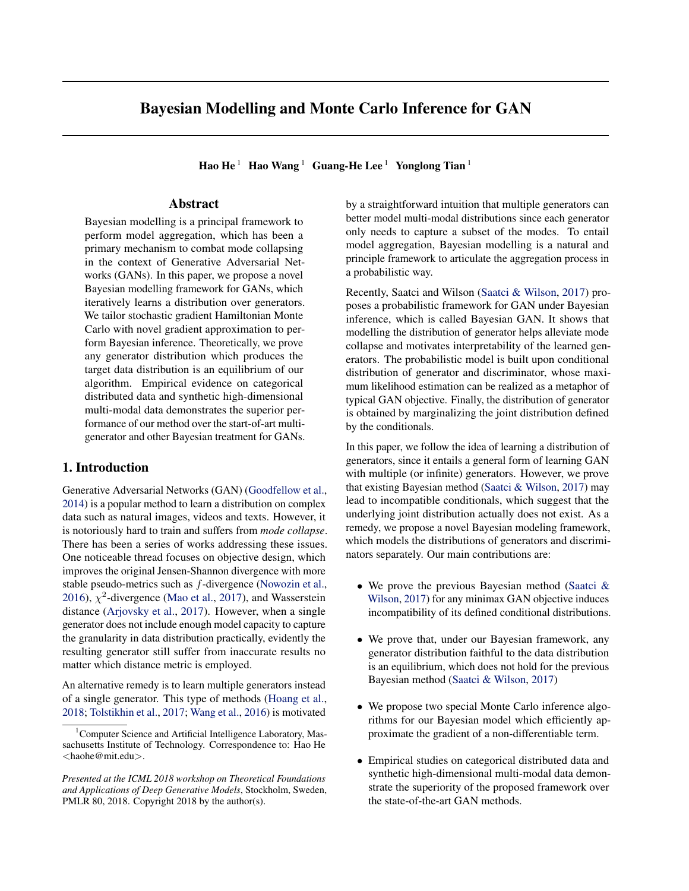*Proof.* First, with Eqn. 7 and Eqn. 8 we show  $q_d(\theta_d) \propto$  $\mathcal{L}_{d}(\theta_{d}, p_{model})$  satisfies  $E_{d} q_{d} D(\cdot; \theta_{d}) \equiv 0.5$ . In the following equations,  $\mathcal{S}(\theta_d)$  is the symmetric discriminator of  $\theta_d$  whose definition is delayed to the next paragraph after the proof.

$$
q_d(\theta_d)
$$
  
\n
$$
\propto \mathbb{E}_{\mathbf{x}} \left[ \log D(\mathbf{x}; \theta_d) \right] + \mathbb{E}_{\mathbf{x}} \left[ \log(1 - D(\mathbf{x}; \theta_d)) \right]
$$
  
\n
$$
= \mathbb{E}_{\mathbf{x}} \left[ \log D(\mathbf{x}; \theta_d) + \log(1 - D(\mathbf{x}; \theta_d)) \right]
$$
  
\n
$$
\Rightarrow q_d(\theta_d) = q_d(\mathcal{S}(\theta_d)),
$$
  
\n(7)

 $\overline{ }$ 

$$
E_{d} q_{d} D(\mathbf{x}; \theta_{d}) = \int_{d^{2}\Theta_{d}}^{L} q_{d}(\theta_{d}) D(\mathbf{x}; \theta_{d}) d\theta_{d}
$$
  
\n
$$
= \frac{1}{2} (\int_{d}^{L} q_{d}(\theta_{d}) D(\mathbf{x}; \theta_{d}) + \int_{\theta_{d} = S(d)}^{L} q_{d}(\theta_{d}^{0}) D(\mathbf{x}; \theta_{d}^{0}))
$$
  
\n
$$
= \frac{1}{2} \int_{d^{2}\Theta_{d}}^{L} q_{d}(\theta_{d}) (D(\mathbf{x}; \theta_{d}) + D(\mathbf{x}; S(\theta_{d}))) d\theta_{d}
$$
  
\n
$$
= \frac{1}{2} \int_{d^{2}\Theta_{d}}^{L} q_{d}(\theta_{d}) \cdot 1 \cdot d\theta_{d} = \frac{1}{2}.
$$
 (8)

Second, according Eqn. 9, we know  $\mathcal{L}_q(\theta_q; D)$  is a constant which leads  $q_g(\theta_g) \propto \exp\{-\mathcal{L}_g(\theta_g; D_\theta)\}\times q_g(\theta_g)$ .

$$
\mathcal{L}_{g}(\theta_{g}; D) = \mathbb{E}_{\mathbf{x} \ p_{gen}(\, ; \, g)}[\log D \, (\mathbf{x})] \\
= \log(0.5), \forall \mathbf{x} \in \mathcal{X}.
$$
\n(9)

Note that, in the proof we implicitly make two very weak assumptions of the discriminator parameter's space. First, for any two different parameters  $\theta_d \neq \theta_d^{\theta}$ , the discriminator functions are not equivalent, i.e.  $D(\mathbf{x}; \theta_d) \not\equiv D(\mathbf{x}; \theta_d^0)$ . Second, the space of discriminator are symmetric which means for any  $\theta_d \in$  d, there is a  $\theta_d^0 \in$  d such that  $D(\mathbf{x}; \theta_d) \equiv 1 - D(\mathbf{x}; \theta_d^0)$ .<sup>4</sup> According to the first assumption,  $\theta_d^{\theta}$  is unique. Thus we further define an operator  $\mathcal{S}(\theta_d)$ as the mapping from  $\theta_d$  to its symmetric counterpart  $\theta_d^{\theta}$ .

#### 3.3. Comparison with Bayesian GAN

In this section, we compare our model with Bayesian GAN (Saatci & Wilson, 2017) (refered as BGAN in the rest of the paper) and explain the motivation of our method.

As showed in Eqn. 6 and Eqn. 4, the first difference is the choice of prior distributions. BGAN manually set weakly informative prior for both the generator and the discriminator. Hence during the iterative process, the generator distribution only relies on the previous discriminator distribution, which might be problematic when the discriminator becomes non-informative as we mentioned in Sec. 3.2.

The second difference happens in the choice of likelihood. BGAN defines its likelihood as distribution condition on a single parameter which satisfies the property that its maximum likelihood estimation reduces to the traditional GAN objective. However, we argue that since our goal is to learn a generator distribution, it would more preferable to directly build a Bayesian model on the distribution of generators.

Below we provide two theoretical analyses to show the inappropriateness of BGAN in certain settings.

### Compatibility Issue

In this part, we show BGAN is not suitable for any minmax-style GAN objective due to the incompatibility of its conditional posterior. This issue may limit the usage of BGAN since many common choices of GAN objective are in min-max fashion, such as the original GAN and WGAN.

By iteratively sampling from the conditional posterior in Eqn. 2, BGAN implicitly samples from a joint posterior distribution of  $\theta_d$  and  $\theta_g$ . The corresponding marginal distribution is supposed to give a good generator distribution that can produce the target data distribution. However, our theoretical analysis shows that such a presumed joint distribution does not exist. Specifically, according to Lemma 1, the existence of a joint distribution satisfying Eqn. 2 requires the GAN objective  $\mathcal{L}(\theta_d, \theta_q) = \mathcal{L}_d(\theta_d; \theta_q) = -\mathcal{L}_q(\theta_q; \theta_d)$ to be decomposable, i.e.  $\exists \phi_g, \phi_d$ , s.t.  $\mathcal{L}(\theta_g, \theta_d) = \phi_g(\theta_g)$  +  $\phi_d(\theta_d)$ . Apparently, no GAN objective  $\mathcal{L}(\theta_d, \theta_q)$  is decomposable. Therefore, conditional posteriors defined in Eqn. 2 are incompatible. Sampling with incompatible conditional distribution is problematic and leads unpredictable behavior (Arnold & Press, 1989; Chen & Ip, 2015).

**Lemma 1.** Assume a joint distribution  $p(x, y)$  of variable X and Y. Its corresponding conditional distribu*tions have the forms*  $p(x|y) \propto \exp\{L(x,y)\}q_x(x)$  *and*  $p(y|x) \propto \exp\{-L(x, y)\}q_{\rm V}(y)$  only if X and Y are in*dependent, i.e.,*  $p(x, y) = p(x)p(y)$  *and*  $L(x, y)$  *is decomposable, i.e.,*  $\exists L_X$  *and*  $L_V$ ,  $L(x, y) = L_X(x) + L_V(y)$ . *Proof.*

$$
p(x|y) = \alpha(y) \exp{L(x, y)} q_x(x),
$$
  
\n
$$
p(y|x) = \beta(x) \exp{-L(x, y)} q_y(y),
$$
  
\n
$$
\implies p(x, y)^2 = p(x|y)p(y) \times p(y|x)p(x)
$$
  
\n
$$
= p(x)p(y)\alpha(y)\beta(x)q_x(x)q_y(y)
$$
  
\n
$$
\implies X, Y \text{ are independent.}
$$
  
\n
$$
\implies p(x) = p(x|y)
$$
  
\n
$$
\implies L(x, y) = \log p(x) - \log q_x(x) - \log \alpha(y)
$$
  
\n
$$
\implies L(x, y) \text{ is decomposable.}
$$
  
\nwhere  $\alpha(y) = {x \exp{L(x, y)} q_x(x) dx}^{-1}$  and  $\beta(x) = {x \exp{-L(x, y)} q_y(y) dy}^{-1}$ .

#### Convergence Issue

<sup>&</sup>lt;sup>4</sup>In the case of  $D(\mathbf{x}; \theta_d) : X \neq [0, 1]$ ,  $\theta_d$  and  $\theta_d^0$  being symmetric means  $D(\mathbf{x}; \theta_d)$  1  $D(\mathbf{x}; \theta_d)$  while in the case of  $D(\mathbf{x}; \theta_d) : X \neq \mathbb{R}$ , symmetry means  $D(\mathbf{x}; \theta_d)$  $\mathcal{C}_d$ ).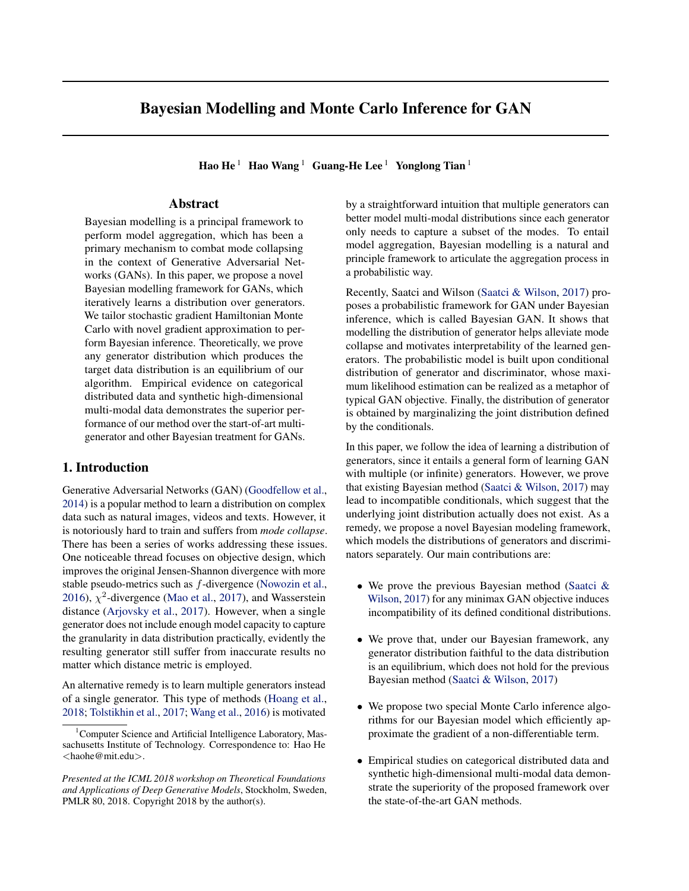In this part, we theoretically analyze a simple task of learning a Bernoulli distribution and show that BGAN fails in converging to the desired solution.

Consider the setting where  $\mathcal{X} = \{0, 1\}$  is the data space,  $d = {\theta_d^0, \theta_d^1}$  and  $g = {\theta_g^0, \theta_g^1}$  are the space of generator and discriminator parameters. The data distributions captured by the generators are the following Bernoulli distributions  $p_{gen}(x; \theta_g^0)$  = Bern $(x; 0)$  and  $p_{gen}(x; \theta_g^1)$  = Bern $(x; 1)$ , while the discriminators are  $\overline{D}(x; \theta_{d}^{0})$  =  $\epsilon \mathbb{1}_{x=1}$  +  $(1 - \epsilon) \mathbb{1}_{x=0}$  and  $D(x; \theta_{d}^{1})$  =  $\epsilon \mathbb{1}_{x=0]}$  +  $(1 - \epsilon) \mathbb{1}_{x=1}$ . Further, any distribution of generators can be parameterized as  $q_g(\theta_g; \gamma) = \gamma \mathbb{1}_{[g=g]}$  +  $(1 - \gamma)$   $\mathbb{I}_{\left[\right]}$   $\underset{g = g}{=}$  Suppose the target data distribution we aim to learn is  $p_{data} = \text{Bern}(\lambda)$ . Lemma 2 below shows that the iterative process described by Eqn. 4 in BGAN fails to converge to the desired generator distribution.

Note that although we take the Bernoulli distribution as an example here, this issue is applicable to any distribution over a finite data set  $X$  with BGAN. The categorical distribution example in Sec. 4 empirically verifies this and shows that our Bayesian model does not suffer from this problem.

**Lemma 2.** *There exists*  $\lambda \in (0, 1)$  *such that the desired generator distribution*  $q_g(\theta_g)$  ,  $q_g(\theta_g; \gamma = \lambda)$  *is not a fixed point of the iterative process in Eqn. 4. Here we assume the GAN objective is original min-max version while the following proof can be easily adapted to other GAN objectives.*

*Proof.* Assume at stage t,  $q_g^{(t)}$  reaches  $q_g$ . In next iteration,  $q_d^{(t+1)}$  $\frac{d}{d}$   $\frac{d}{d}(\theta_d) \propto \exp\{ \mathsf{E}_x \; \vert \rho_{data} \text{[log} \, D(x; \theta_d) \; + \; \text{log}(1 - \theta_d) \}$  $D(x; \theta_d))$ ] $p(\theta_d|\alpha_d) \propto (\epsilon(1-\epsilon))^{-1}p(\theta_d|\alpha_d) \propto p(\theta_d|\alpha_d)$ . With  $q_d^{(t+1)}$  $d_d^{(t+1)}(\theta_d) = p(\theta_d|\alpha_d), q_g^{(t+2)}$  will be proportional to  $\exp\left\{\mathbb{E}_{d} p_{(\frac{d}{d},d)}(x) = p_{gen}(\frac{d}{d},g)} \log(D(x;\theta_d))\right\} p(\theta_g|\alpha_g),$ which is not relevant to  $\lambda$ . Thus we can find a  $\lambda$  such that  $q_g^{(t+2)} \neq q_g^{(t)} = q_g$ .

### 3.4. Inference Algorithm

So far we have introduced our Bayesian modelling for GAN. In this section we develop novel inference algorithms to compute the posterior. Similar to most complex Bayesian methods, exact calculation of the posterior is *intractable*. Following the strategy in (Saatci & Wilson, 2017), we adopt Stochastic Gradient Hamiltonian Monte Carlo to generate samples from the posterior. In each iteration, M Monte Carlo samples  $\{\theta_{g,m}^{(t)}\}_{m=1}^M$  are generated to approximate the generator distribution  $q_g^{(t)}$ .

$$
\nabla_{d} \log q_{d}^{(t+1)}(\theta_{d}) = -\nabla_{d} \mathcal{L}_{d}(\theta_{d}; p_{model}^{(t)})
$$

$$
= -\frac{1}{M_{g}} \sum_{m=1}^{\mathcal{H}_{g}} \nabla_{d} \mathcal{L}_{d}(\theta_{d}; p_{gen}(\cdot; \theta_{g,m}^{(t)})), \quad (11)
$$

#### Algorithm 1 Our Meta Inference Algorithm

**Input:** Initial Monte Carlo samples of  $\{\theta_{d,m}^{(0)}\}_{m=1}^{M_d}$  and  $\{\theta_{g,m}^{(0)}\}_{m=1}^{M_g}$ , learning rate  $\eta$ , SGHMC noise factor  $\alpha$ , number of updates in SGHMC procedure L. for  $t = 1, \cdots$  do for  $m = 1$  to  $M_d$  do  $\theta_{\textit{d:m}} \leftarrow \theta_{\textit{d:r}}^{(t)}$  $\int_{\alpha}^{\alpha} d\alpha \, d\alpha$ <br>for  $l = 1$  to  $L$  do  $\mathsf{n} \sim \mathcal{N}(0, 2\alpha\eta I)$  $\mathsf{v} \leftarrow (1-\alpha)\mathsf{v} + \eta\nabla_{d} \log q_d^{(t+1)}$  $\frac{d^{(l+1)}}{d}(\theta_{d;m}) + \mathsf{n}$  $\theta_{d;m} \leftarrow \theta_{d;m} + \mathbf{V}$ end for  $\theta_{d;m}^{(t+1)} \leftarrow \theta_{d;m}$ end for for  $m = 1$  to  $M_q$  do  $\theta_{g;m} \leftarrow \theta_{g;m}^{(t)}$ for  $l = 1$  to  $L$  do  $\mathsf{n} \sim \mathcal{N}(0, 2\alpha\eta I)$  ${\sf v}\leftarrow (1-\alpha){\sf v}+\eta\nabla_{-g}\log q^{(t+1)}_g(\theta_{g;m})+{\sf n}$  $\theta_{g;m} \leftarrow \theta_{g;m} + \mathbf{V}$ end for  $\theta_{g;m}^{(t+1)} \leftarrow \theta_{g;m}$ end for

end for

$$
\nabla_g \log q_g^{(t+1)}(\theta_g) = -\nabla_g \mathcal{L}_g(\theta_g; D^{(t)}) + \nabla_g \log q_g^{(t)}(\theta_g)
$$
  
=  $-\nabla_g \mathcal{L}_g(\theta_g; \frac{1}{M_d} \times D(\cdot; \theta_{d,m}^{(t)})) + \nabla_g \log q_g^{(t)}(\theta_g).$  (12)

Algorithm 1 is our meta algorithm based on SGHMC. As shown in Eqn. 11 and Eqn. 12, the gradients come from two parts: the GAN objective  $\mathcal{L}_g$ ,  $\mathcal{L}_d$  and the prior  $q_g^{(t)}$ . Obtain GAN objective's gradient is easy while computing the prior gradient,  $\nabla_g \log q_g^{(t)}(\theta_g)$ , is actually non-trivial since we have no exact analytic form of  $\nabla_g \log q_g^{(t)}(\theta_g)$ .

To address this challenge, we propose the following two methods to approximate  $\nabla_g \log q_g^{(t)}(\theta_g)$ , leading to two practical inference algorithms.

Gaussian Mixture Approximation (GMA): Although the analytic form of the distribution  $q_g^{(t)}(\theta_g)$  is unknown, we have  $M_g$  Monte Carlo samples  $\{\theta_{g,m}^{(t)}\}_{m=1}^{M_g}$  from it which enables us to directly approximate the distribution as a Mixture of Gaussian in Eqn. 13, where  $\sigma$  is a hyperparameter and C is the normalization constant.

$$
q_g^{(t+1)}(\theta_g) \approx C \exp\{\frac{\mathcal{X}^g}{m=1} \frac{\|\theta_g - \theta_{g,m}^{(t)}\|_2^2}{2\sigma^2}\} \qquad (13)
$$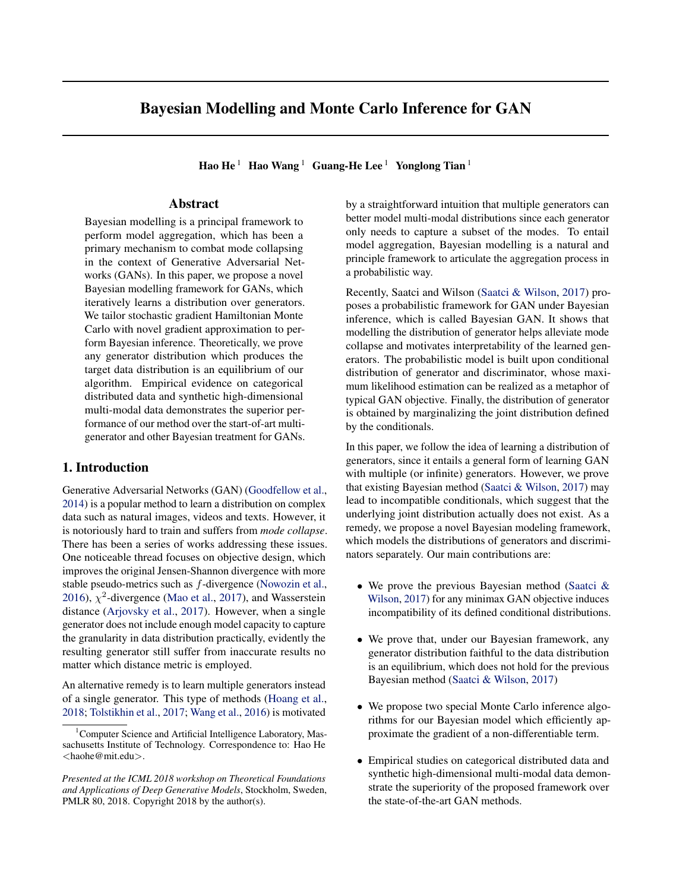

Figure 1. The  $l_1$  distance between generated data distribution and the target versus the number of iterations for our model (in solid line) and BGAN (in dash line). The results with different GAN objectives are indicated by different colors.

Thus the prior gradient can be approximated as following.

$$
\nabla_g \log q_g^{(t+1)}(\theta_g) \approx \frac{\mathcal{H}_g}{m=1} \frac{1}{\sigma^2} (\theta_g - \theta_{g,m}^{(t)}). \tag{14}
$$

Partial Summation Approximation (PSA): Based on Eqn. 12, we observe that the gradient of the prior can be recursive unfolded as a summation over all historical GAN objective gradients, shown as:

$$
\nabla_g \log q_g^{(t+1)}(\theta_g) = -\nabla_g \mathcal{L}_g(\theta_g; D^{(t)}) + \nabla_g \log q_g^{(t)}(\theta_g)
$$

$$
= -\frac{\times}{\sqrt{2}} \nabla_g \mathcal{L}_g(\theta_g; D^{(t)}).
$$
(15)

It indicates that if we can store all historical discriminator samples  $\{\theta_{d;m}^{(i)}\}_{i=1;m=1}^{t,\mathcal{M}_d}$ , the prior gradient can be computed exactly via the summation. However, computing gradients by all discriminator samples costs huge amount of storage and computational time, which is unaffordable. Hence we propose to maintain a subset of discriminators by subsampling the whole sequence of discriminators.

### 4. Experiments

#### 4.1. Categorical Distribution

Setup: In this toy example, we consider the case where  $\mathcal{X}$ ,  $\alpha$ , and  $\alpha$  are all finite sets, specifically  $\mathcal{X}$  = { $\mathsf{x}_1, \cdots, \mathsf{x}_N$ },  $g$  = { $\theta_g^1, \cdots, \theta_g^{N_g}$  $d =$  $\{\theta_d^1, \cdots, \theta_d^{N_d}\}.$  The target data distribution is a categorical distribution Cat( $\lambda_{1:N}$ ) with  $\lambda_i$  =  $p_{data}(\mathbf{x}_i)$  as the probability of generating data  $x_i$ . The data distribution generated by generator  $i$  is another categorical distribution  $p_{data}(\mathbf{x}; \theta_{g}^{i}) = \text{Cat}(\alpha_{1:N}^{i})$ . Similarly, the distributions of generator and discriminator can also be parameterized as categorical distributions, i.e.  $q_g(\theta_g) = \text{Cat}(\beta_{1:N_g})$  and  $q_d(\theta_d) = \text{Cat}(\gamma_{1:N_d}).$ 

In practice, we set  $N = 10, N_g = 20, N_d = 100$ . The parameters  $\lambda_{1:N}$  of the categorical distribution are obtained by firstly sampling i.i.d  $\{\overline{X}_j\}_{j=1}^N$  from the uniform distribution  $U[0, 1]$  and then normalizing  $\lambda_j = \frac{j}{N-1}$ . Other categorical distribution parameters  $\alpha'_{1:N}$ ,  $\beta_{1:N_g}$  and  $\gamma_{1:N_d}$ are also initialized in a similar way. For the discriminators, their function values are randomly generated from  $\{D(\mathbf{x}_i; \theta^j_d)\}_{i=1}^{N;N_d} \sim \mathcal{U}[0, 1].$ 

**Metric:** We employ  $l_1$  distance for evaluation which can be directly computed on categorical distributions as follows.

$$
\mathcal{D}_{l_1}(p_{data}, p_{model}) = \frac{|p_{data}(\mathbf{x}) - p_{model}(\mathbf{x})|}{\mathbf{x}^{2X}}.
$$
 (16)

Evaluation: Our Bayesian model (Eqn. 6) and the BGAN (Eqn. 4) are evaluated with three different GAN objectives: min-max, non-satuaring and LSGAN. which are listed in Table 1. In each iteration step, the distributions of generator and discriminator are updated in a closed form since the normalization constant of the categorical posterior can be easily calculated via summation.

**Result:** Fig. 1 shows the curves of  $l_1$  distance as a function of number of iterations. For each curve, 20 random trials are averaged. Our model converges to the optimum no matter which objective is employed, showing the robustness of our method. However, the BGAN model is quickly trapped in a bad equilibrium. This might be attributed to the fixed prior of BGAN model which restricts the model space that is explored, while our model maintains a dynamic prior for each iteration which encourages the model to explore towards the optimum.

### 4.2. High-dimensional Multi-modal Synthetic Dataset

In this experiment, we evaluate our model with two different inference algorithms proposed in Sec. 3.4 (denoted as *ours-GMA* and *ours-PSA*). We also compare with three baselines: 1) *GAN*: naively trained multiple generators in the vanilla GAN framework; 2) *MGAN*: Mixture GAN (Hoang et al., 2018) which is the start-of-art method to train GAN with multiple generators; 3) *BGAN*: Bayesian GAN (Saatci & Wilson, 2017).

Setup: We consider a learning task in a high dimensional space  $X = \mathbb{R}^D$ . The target distribution is a uniform mixture of n modes, each lying in a d-dimensional sub-space of  $X$ . We call this d-dimensional sub-space as intrinsic sub-space of the  $i$ -th mode. Specifically, the data of the  $i$ -th mode is generated by the following process,

$$
\mathbf{z} \sim \mathcal{U}[-1,1]^d, \quad \mathbf{x} = \mathbf{A}_i(\mathbf{z} + \mathbf{b}_i), \tag{17}
$$

where entries of the affine transformation matrix  $A_{i,j,k}$  ~  $\mathcal{N}(0, \sigma_A^2)$  and the bias vector  $\mathbf{b}_i \sim \mathcal{N}(\mathbf{0}, \sigma_b^2 I_d)$  are drawn from the corresponding Gaussian distributions.

In our experiment,  $n$ ,  $D$ , and  $d$  are set to 10, 100, and 2.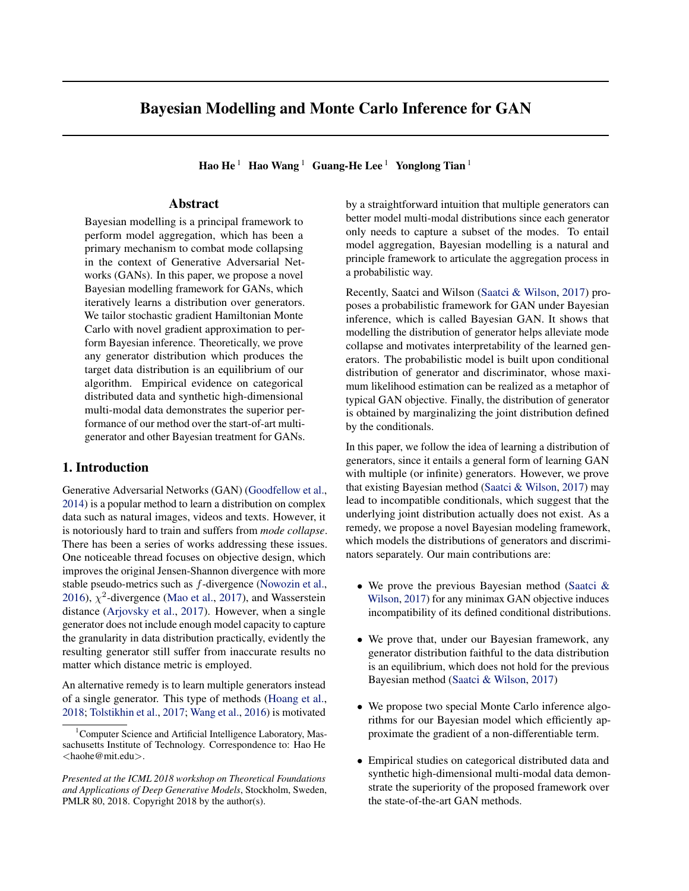Bayesian Modelling and Monte Carlo Inference for GAN





Figure 2. Visualization of the projected hit sets of all models trained with GAN-MM objective. The top two rows show the results of optimization based methods.The bottom three rows present probabilistic method results. In each row, projected hit sets for each mode are plotted in different panels. The red boxes in each panel indicate the region  $\mathcal{U}[-1,1]^2$  where the target data uniformly distributed. The data points produced by different generators of a model is painted with different colors.

Hyper-parameters for **A** and **b** are set to be  $\sigma_A = \sigma_b = 5$ . Each model train ten generators (ten Monte Carlo generator samples for probabilistic models).

**Metric:** We define *projection error*  $\epsilon_p$  for generated data sample x as the minimum of Euclidean distance between **x** and the intrinsic sub-spaces of the modes i.e.  $\epsilon_p(\mathbf{x})$  = min<sub>i</sub>  $\epsilon_i(\mathbf{x})$  ,  $\|\mathbf{x}-\mathbf{A}_i(\mathbf{A}_i^T\mathbf{A}_i)^{-1}\mathbf{A}_i^T\mathbf{x}\|_2$ . Based on the fact that the average distance between the data from two different modes is 800, we set a threshold of  $\eta = 40$ . Therefore only the data whose Euclidean distance to the subspace of the mode lowers than  $\eta$  is considered as belonging to that mode.

The trained models are evaluated based on  $\{x_k\}_{k=1}^K \sim$ pmodel, the data samples it generates. We define *hit set*  $\mathcal{H}_i$  ,  $\{ \mathbf{x}_k | \epsilon_i(\mathbf{x}_k) < \eta \}$  which indicates the data samples belong to each mode. We further define *projected hit set*,  $\mathcal{PH}_i$ ,  $\{(\mathbf{A}_i^T \mathbf{A}_i)^{-1} \mathbf{A}_i^T \mathbf{x} - \mathbf{b}_i | \mathbf{x} \in \mathcal{H}_i \}$  to project data in each hit set back to their intrinsic sub-space.

Here we introduce three evaluation metrics: *hit ratio*, *hit error*, and *cover error. Hit ratio*  $\mathcal{H}_r$ ,  $\frac{1}{K} \frac{1}{K}$  is the percentage of generated data actually belonging to the ground

truth mode. *Hit error*  $\mathcal{H}_{e}$ ,  $\frac{P_{\text{in}} \times 2H_i}{P_{\text{out}}/H_i}$  $\frac{\mathbf{p} \cdot \mathbf{x} 2H_i}{\sum_{i=1}^n jH_i j}$  is the averaged Euclidean distance between the data and the intrinsic sub-space of the mode. The last metric *cover error*  $C_e$  is to evaluate how well the generated data covers each mode. Essentially it computes the KL-divergence between the estimated distribution of samples in  $\mathcal{PH}_i$  and the uniform distribution over  $[-1, 1]$ <sup>d</sup>. Formally, it is defined as the averaged KL-divergence on  $n$  modes i.e.  $\mathcal{C}_{e}$ ,  $\frac{1}{n} \int_{i=1}^{n} \text{KL}(\hat{p}(\cdot; \mathcal{PH}_i) || \mathcal{U}[-1, 1]^d)$ . The intuition is that if the generated is close to the ground truth distribution, they should be uniformly distributed in the square area of each mode.

Model Architecture: For fair comparison, we use the same network architecture for each model. Each generator or discriminator is a three layer perceptron. For the generator, the dimensions of input, hidden layer and output are 10, 1000, and 100 respectively. For the discriminator, the dimensions of input, hidden, output layers are 100, 1000, and 1. All activation functions are leaky ReLU (Maas et al., 2013).

Training Details: All models are optimized by Adam (Kingma & Ba, 2014) with a learning rate of 10 $^{-4}$ .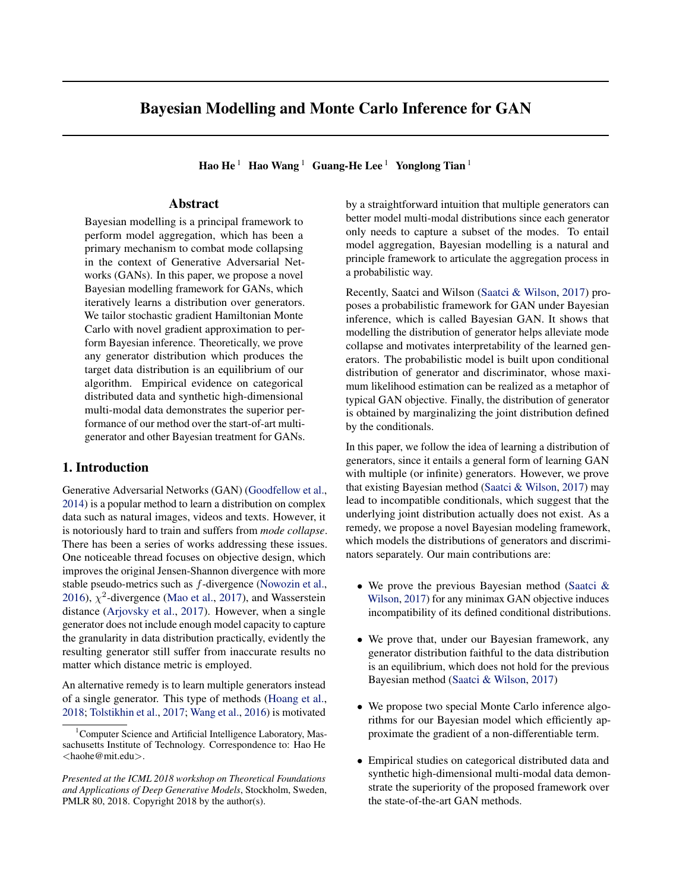### BGAN + WGAN

Ours-GMA + WGAN

### Ours-PSA + WGAN

Figure 3.Visualization of the projected hit sets of three probabilistic models trained with the WGAN objective.

For probabilistic methods, the SGHMC noise factorin Algorithm 1) is set as  $0^{-1}$ .

Result: We evaluate all algorithms under the four different GAN objectives introduced in Table 1 referred to as GAN-MM, GAN-NS, WGAN and LSGAN here.

Optimization-based v.s. probabilistic

Table 2 summarizes the results in termshidfratio and hit error. Probabilistic methods including our algorithms

and BGAN always achieve a hit ratio of which means every data point generated from these models is very clossbjectives. Note, when the model failed to capture all the modes of to one mode of the target distribution. On the other hand data distribution, by de nition cover error will be, in this case, optimization based methods, both GAN and MGAN, con-the averaged KL-divergence on modes captured by the model is sistently have a signi cantly larger hit error, and sometimesreported in brackets. Table 3. Cover errors $C_e$  of different methods with different GAN

| may even generate data samples that do not belong to any                                                                                                                                        |                         | GAN-MM                  | GAN-NS               | WGAN                 | LSGAN                |
|-------------------------------------------------------------------------------------------------------------------------------------------------------------------------------------------------|-------------------------|-------------------------|----------------------|----------------------|----------------------|
| mode. Moreover, the data distribution generated by the GAN<br>optimization-based methods ts the target uniform distribu-                                                                        | <b>MGAN</b>             | 12.11<br>5.46           | 8.86<br>6.31         | 7.20<br>5.00         | (12.07)<br>(4.25)    |
| tion much worse than its probabilistic counterparts, which<br>is quantitatively re ected in the cover error showed in Ta-<br>ble 3 and visually demonstrated by the projected hit sets OURS-PSA | <b>BGAN</b><br>OURS GMA | 1(1.73)<br>1.84<br>1.75 | 1.76<br>1.73<br>1.75 | 4.32<br>3.01<br>2.28 | 1.80<br>1.79<br>1.74 |

in Fig. 2. According to Fig. 2, data generated by GAN or MGAN tend to be under dispersed and hardly cover the qualitatively comparison is made in Fig. 6 which shows whole square region of the true mode, while data generated e data distribution generated by BGAN tends to shrink. by probabilistic methods aligns much better with the ground choice of GAN objectives (consistently lower cover errors).

truth distribution. We attributes this superiority to stronger More visual illustrations under different GAN objectives are exploration power in the generator space coming from the hown in the supplementary Sec. 6.2. randomness in probabilistic methods.

### Bayesian GAN v.s. our methods

# 5. Conclusion

The incompatibility issue of BGAN with minimax-style GAN objectives theoretically derived in Sec. 3.3 is empir-work for GAN, with a likelihood function establishing a ically veri-ed in our experiments. As visualized in Fig. 2, connection to existing GAN models and a novel prior stabiwith the GAN-MM objective, BGAN is trapped in a local equilibrium and fails in capturing one mode of the true data<sub>inference algorithms</sub> which are asymptotically correct. As Besides, as shown in Table 3, BGAN with the WGAN ob-future work, we plan to extend the proposed framework to jective achieves much poorer coverage than with other GAN on-parametric Bayesian modelling and investigate more objectives, while our model is much more robust to the theoretical properties of GANs in the Bayesian context. In this paper, we propose a novel Bayesian modelling framelizing the inference process. We propose scalable Bayesian

Table 2.Hit ratios  $(H<sub>r</sub>)$  and hit errors  $H<sub>e</sub>$ ) of different methods with different GAN objectives. Each cell contains ;  $H_e$ .

|                                                   | GAN-MM                         | GAN-NS                          | WGAN                               | LSGAN                            |
|---------------------------------------------------|--------------------------------|---------------------------------|------------------------------------|----------------------------------|
| GAN<br><b>MGAN</b>                                | 0.86.22.6<br>0.82.24.2         | 0.85.23.1<br>0.84, 25.5         | 0.78.26.7<br>0.67, 31.7            | 0.74.23.1<br>0.81, 23.6          |
| <b>BGAN</b><br><b>OURS-GMA</b><br><b>OURS-PSA</b> | 1.0, 5.5<br>1.0.7.4<br>1.0.5.8 | 1.0, 6.4<br>1.0.7.7<br>1.0, 6.4 | 1.0.12.1<br>1.0, 15.5<br>1.0, 12.5 | 1.0, 6.3<br>1.0, 5.3<br>1.0, 6.4 |
|                                                   |                                |                                 |                                    |                                  |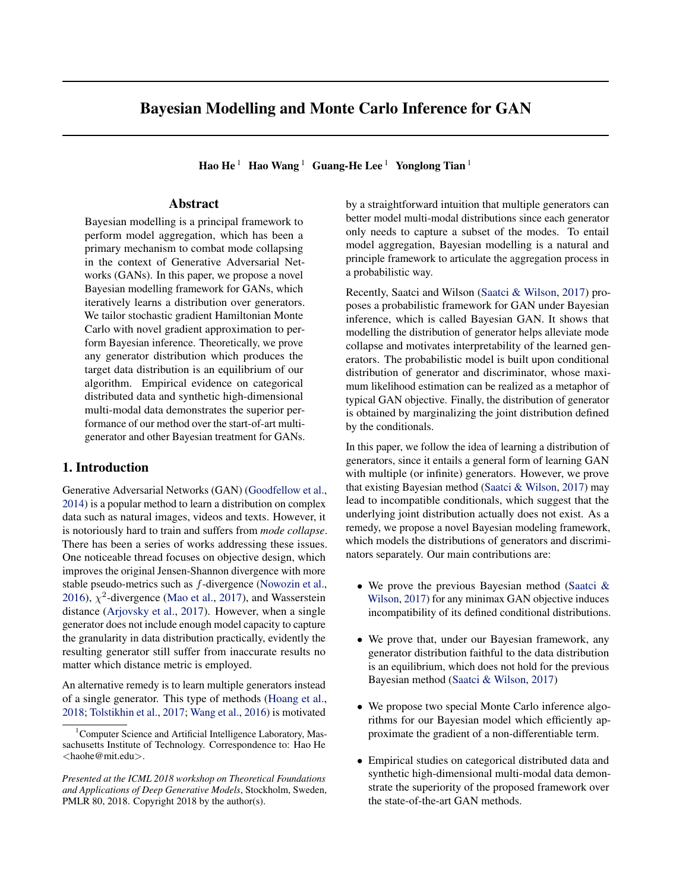| References                                                                                                                                                                                                                                                                 | Saatci, Yunus and Wilson, Andrew G. Bayesian gan. In                                                                                                                                                  |  |  |
|----------------------------------------------------------------------------------------------------------------------------------------------------------------------------------------------------------------------------------------------------------------------------|-------------------------------------------------------------------------------------------------------------------------------------------------------------------------------------------------------|--|--|
| Arjovsky, Martin, Chintala, Soumith, and Bottouébn.<br>Wasserstein gararXiv preprint arXiv:1701.0787,52017.                                                                                                                                                                | Advances in neural information processing systemps<br>3622-3631, 2017.                                                                                                                                |  |  |
| Arnold, Barry C and Press, S James. Compatible condi-<br>tional distillation of the same tional distillation of the same tional distillation of the same tional distill<br>tional distributions Journal of the American Statistical<br>Association 84(405): 152-156, 1989. | Boosting generative models. Advances in Neural In-<br>formation Processing Systemsp. 5430-5439, 2017.                                                                                                 |  |  |
| Zhang, Yi. Generalization and equilibrium in generative<br>adversarial nets (gans)rXiv preprint arXiv:1703.0057,3<br>2017.                                                                                                                                                 | Arora, Sanjeev, Ge, Rong, Liang, Yingyu, Ma, Tengyu, and Wang, Yaxing, Zhang, Lichao, and van de Weijer, Joost.<br>Ensembles of generative adversarial networksXiv<br>preprint arXiv:1612.0099,12016. |  |  |
| Chen, Shyh-Huei and Ip, Edward H. Behaviour of the gibbs<br>sampler when conditional distributions are potentially<br>incompatible. Journal of statistical computation and<br>simulation 85(16):3266-3275, 2015.                                                           |                                                                                                                                                                                                       |  |  |
| Chen, Tianqi, Fox, Emily, and Guestrin, Carlos. Stochas-<br>tic gradient hamiltonian monte carlo. International<br>Conference on Machine Learningp. 1683-1691, 2014.                                                                                                       |                                                                                                                                                                                                       |  |  |
| Ghosh, Arnab, Kulharia, Viveka, Namboodiri, Vinay, Torr,<br>Philip HS, and Dokania, Puneet K. Multi-agent di-<br>verse generative adversarial networkarXiv preprint<br>arXiv:1704.029062017.                                                                               |                                                                                                                                                                                                       |  |  |
| Goodfellow, Ian. Nips 2016 tutorial: Generative adversarial<br>networks.arXiv preprint arXiv:1701.0016,02016.                                                                                                                                                              |                                                                                                                                                                                                       |  |  |
| Goodfellow, Ian, Pouget-Abadie, Jean, Mirza, Mehdi, Xu,<br>Bing, Warde-Farley, David, Ozair, Sherjil, Courville,<br>Aaron, and Bengio, Yoshua. Generative adversarial nets.<br>In Advances in neural information processing systems<br>pp. 2672-2680, 2014.                |                                                                                                                                                                                                       |  |  |
| Hoang, Quan, Nguyen, Tu Dinh, Le, Trung, and Phung,<br>Dinh. Mgan: Training generative adversarial nets with<br>multiple generators, 2018.                                                                                                                                 |                                                                                                                                                                                                       |  |  |
| Kingma, Diederik P and Ba, Jimmy. Adam: A method for<br>stochastic optimizationarXiv preprint arXiv:1412.6980<br>2014.                                                                                                                                                     |                                                                                                                                                                                                       |  |  |
| Maas, Andrew L, Hannun, Awni Y, and Ng, Andrew Y.<br>Recti er nonlinearities improve neural network acoustic<br>models. InProc. icml volume 30, pp. 3, 2013.                                                                                                               |                                                                                                                                                                                                       |  |  |
| Mao, Xudong, Li, Qing, Xie, Haoran, Lau, Raymond YK,<br>Wang, Zhen, and Smolley, Stephen Paul. Least squares<br>generative adversarial networks. 2017 IEEE Interna-<br>tional Conference on Computer Vision (ICC)bp. 2813-<br>2821. IEEE, 2017.                            |                                                                                                                                                                                                       |  |  |
| Nowozin, Sebastian, Cseke, Botond, and Tomioka, Ryota.<br>f-gan: Training generative neural samplers using varia-<br>tional divergence minimization. IAdvances in Neural<br>Information Processing Systempp. 271-279, 2016.                                                |                                                                                                                                                                                                       |  |  |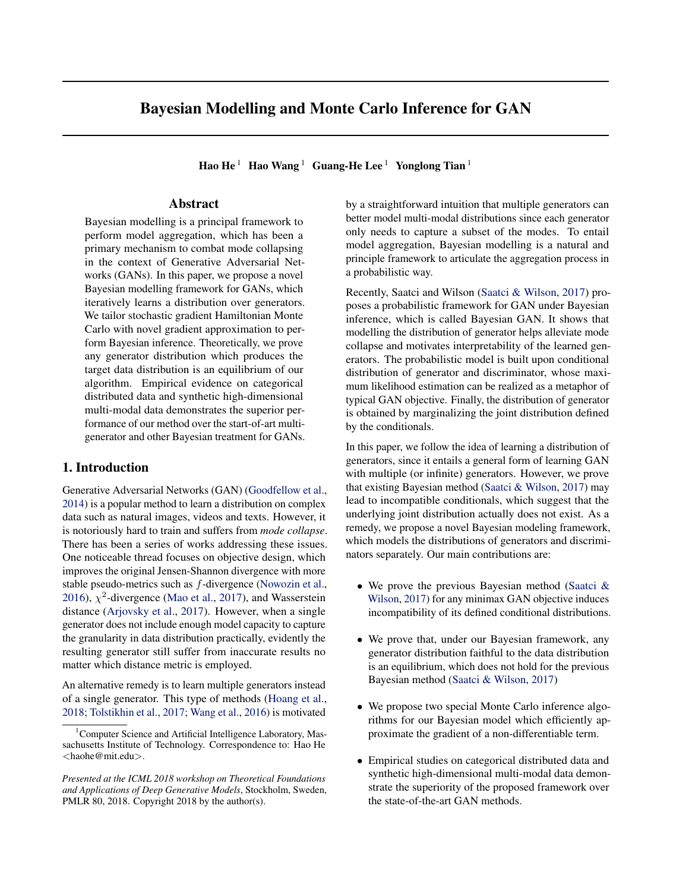### 6. Supplementary Materials

### 6.1. General Version of Theorem 1

In this section, we articulate a general version of Theorem 1 in the main paper. We consider a general GAN objective with the form of Eqn. 19 and Eqn. 18.

$$
L_{d}(d; g) = E_{x p_{data}} [1(D(x; d)) E_{x p_{gen}(t; g)} [2(D(x; d))]
$$
 (18)

$$
L_g(\mathbf{g};\mathbf{d}) = E_{\mathbf{x} \sim p_{gen}(\mathbf{g};\mathbf{g})}[\mathbf{3}(D(\mathbf{x};\mathbf{d}))]
$$
 (19)

We can extend our conclusion in Theorem 1 to any GAN objective with a symmetry property over fungtiums  $_2$  as shown in Eqn. 20. Note that all the common choices of GAN objectives including those listed in Table 1 satisfy this property.

$$
9c 2 R; 8x 2 R; 1(x) = 2(c x)
$$
 (20)

Theorem 2. Assume the GAN objective used in Eqn. 6 holds the symmetry property (Eqn. 20). If there expisits ah generator distributior $q_g($  <sub>g</sub>) satisfyingp<sub>model</sub> , E <sub>g qg</sub> [p<sub>gen</sub> (; <sub>g</sub>)] = p<sub>data</sub>, then there exists a discriminator distribution  $q_d$  such thatD (), E<sub>d qd</sub>D(; d)  $\frac{c}{2}$ . Moreover, $q_q$  and $q_d$  are the xed points of the iterative process de ned in Eqn. 6.

Proof. With Eqn. 21 and Eqn. 22 below, we prove that  $_d$ ) / L  $_d$ (  $_d$ ;  $p_{model}$ ) satis esE  $_{d-q_d}D($ ;  $_{d})$   $=$   $\frac{c}{2}$ . Note that, in the following equations $S($   $_d)$  is the symmetric discriminator o $f_d$  de ned asD(x; S( $\frac{d}{d}$ )) c D(x;  $\frac{d}{d}$ ).

$$
q_{d}(d) \mid E_{x} p_{data} [1(D(x; d))] + E_{x} p_{model} [2(D(x; d))]
$$
\n
$$
= E_{x} p_{data} [1(D(x; d)) + 2(D(x; d))]
$$
\n
$$
= E_{x} p_{data} [2(D(x; d)) + 1(D(x; d))]
$$
\n
$$
= E_{x} p_{data} [2(D(x; S(d))) + 1(D(x; S(d)))]
$$
\n
$$
= E_{x} p_{data} [2(D(x; S(d))) + 1(D(x; S(d)))]
$$
\n
$$
= \frac{1}{2} \left( \frac{1}{2} \left( \frac{1}{2} \left( \frac{1}{2} \left( \frac{1}{2} \left( \frac{1}{2} \right) \right) \right) - \frac{1}{2} \left( \frac{1}{2} \left( \frac{1}{2} \left( \frac{1}{2} \right) \right) \left( \frac{1}{2} \right) \right) \right) \right)
$$
\n
$$
= \frac{1}{2} \left( \frac{1}{2} \left( \frac{1}{2} \left( \frac{1}{2} \left( \frac{1}{2} \right) \right) \left( \frac{1}{2} \right) \right) \right) \left( \frac{1}{2} \right)
$$
\n
$$
= \frac{1}{2} \left( \frac{1}{2} \left( \frac{1}{2} \left( \frac{1}{2} \right) \left( \frac{1}{2} \right) \right) \right) \left( \frac{1}{2} \right) \right)
$$
\n
$$
= \frac{1}{2} \left( \frac{1}{2} \left( \frac{1}{2} \left( \frac{1}{2} \right) \left( \frac{1}{2} \right) \right) + D(x; S(d)) \right) \right) d
$$
\n
$$
= \frac{1}{2} \left( \frac{1}{2} \left( \frac{1}{2} \left( \frac{1}{2} \right) \left( \frac{1}{2} \right) \right) \right) \left( \frac{1}{2} \right)
$$
\n
$$
= \frac{1}{2} \left( \frac{1}{2} \left( \frac{1}{2} \left( \frac{1}{2} \right) \right) \left( \frac{1}{2} \right) \right) \right) \left( \frac{1}{2} \right)
$$
\n<math display="</math>

Hence according Eqn. 23, we knowg ( $_g$ ; D) is a constant which leads  $q_g$  ( $_g$ ) / expf L  $_g$  ( $_g$ ; D) g  $q_g$  ( $_g$ ).

$$
L_g([g; D]) = E_{x \text{p}_{gen}(\ ; g)}[g(D(x))] = g(\frac{c}{2}); \quad 8x \ 2 \ X:
$$
 (23)

 $\Box$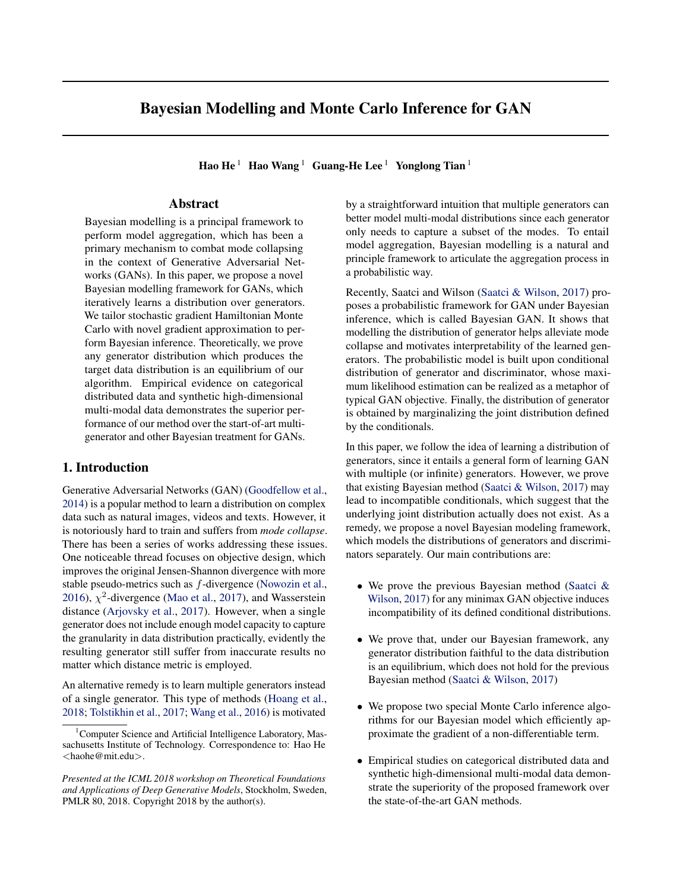6.2. Visualization of Projected Hit Sets

GAN + GAN-NS

MGAN + GAN-NS

BGAN + GAN-NS

Ours-GMA + GAN-NS

# Ours-PSA + GAN-NS

Figure 4.Visualization of the projected hit sets of different models trained with the GAN-NS objective. All the models succeed in tting each mode of true distribution with one of their generator. Speci cally, three probabilistic models generate data almost perfectly covering the ground-truth `squares' while the optimization-based methods have dif culty covering the whole `squares' and tend to yield under-dispersed data distributions. Note that since the GAN-NS objective is not in a min-max style, the success of BGAN is expected.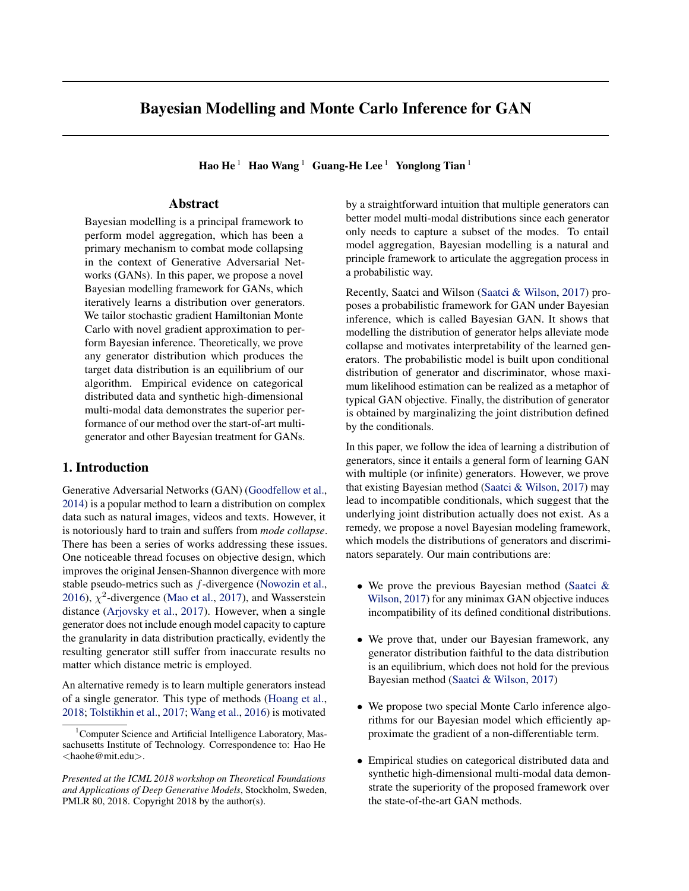GAN + WGAN

MGAN + WGAN

BGAN + WGAN

Ours-GMA + WGAN

# Ours-PSA + WGAN

Figure 5.Visualization of the projected hit sets of different models trained with the WGAN objective. As we can see, training the WGAN objective leads to much worse performance for both optimization-based methods and BGAN. On the other hand, our methods are robust to the choice of different GAN objectives and do not suffer from signi cant performance drop when using the WGAN objective.